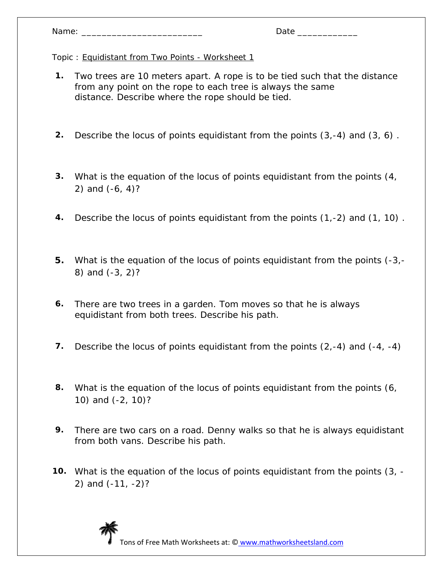|  | Name: |  |
|--|-------|--|
|  |       |  |

- **1.** Two trees are 10 meters apart. A rope is to be tied such that the distance from any point on the rope to each tree is always the same distance. Describe where the rope should be tied.
- **2.** Describe the locus of points equidistant from the points (3,-4) and (3, 6) .
- **3.** What is the equation of the locus of points equidistant from the points (4, 2) and (-6, 4)?
- **4.** Describe the locus of points equidistant from the points (1,-2) and (1, 10) .
- **5.** What is the equation of the locus of points equidistant from the points (-3,- 8) and (-3, 2)?
- **6.** There are two trees in a garden. Tom moves so that he is always equidistant from both trees. Describe his path.
- **7.** Describe the locus of points equidistant from the points (2,-4) and (-4, -4)
- **8.** What is the equation of the locus of points equidistant from the points (6, 10) and (-2, 10)?
- **9.** There are two cars on a road. Denny walks so that he is always equidistant from both vans. Describe his path.
- **10.** What is the equation of the locus of points equidistant from the points (3, 2) and (-11, -2)?

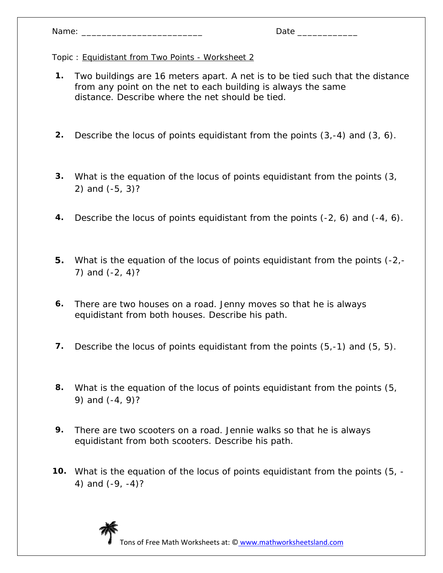| Name: |  |
|-------|--|
|       |  |

- **1.** Two buildings are 16 meters apart. A net is to be tied such that the distance from any point on the net to each building is always the same distance. Describe where the net should be tied.
- **2.** Describe the locus of points equidistant from the points (3,-4) and (3, 6).
- **3.** What is the equation of the locus of points equidistant from the points (3, 2) and (-5, 3)?
- **4.** Describe the locus of points equidistant from the points (-2, 6) and (-4, 6).
- **5.** What is the equation of the locus of points equidistant from the points (-2,- 7) and (-2, 4)?
- **6.** There are two houses on a road. Jenny moves so that he is always equidistant from both houses. Describe his path.
- **7.** Describe the locus of points equidistant from the points (5,-1) and (5, 5).
- **8.** What is the equation of the locus of points equidistant from the points (5, 9) and (-4, 9)?
- **9.** There are two scooters on a road. Jennie walks so that he is always equidistant from both scooters. Describe his path.
- **10.** What is the equation of the locus of points equidistant from the points (5, 4) and (-9, -4)?

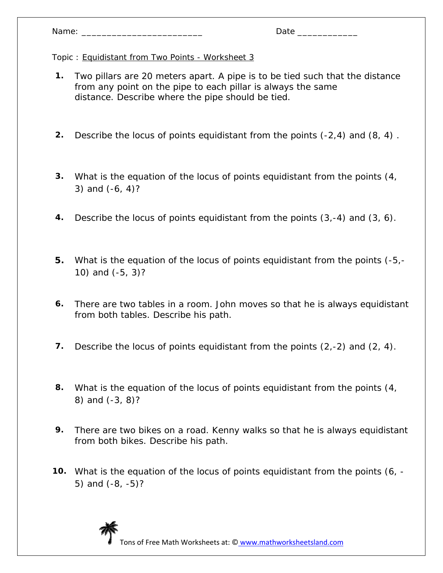| Name: |  |  |  |  |  |
|-------|--|--|--|--|--|
|-------|--|--|--|--|--|

- **1.** Two pillars are 20 meters apart. A pipe is to be tied such that the distance from any point on the pipe to each pillar is always the same distance. Describe where the pipe should be tied.
- **2.** Describe the locus of points equidistant from the points (-2,4) and (8, 4) .
- **3.** What is the equation of the locus of points equidistant from the points (4, 3) and (-6, 4)?
- **4.** Describe the locus of points equidistant from the points (3,-4) and (3, 6).
- **5.** What is the equation of the locus of points equidistant from the points (-5,- 10) and (-5, 3)?
- **6.** There are two tables in a room. John moves so that he is always equidistant from both tables. Describe his path.
- **7.** Describe the locus of points equidistant from the points (2,-2) and (2, 4).
- **8.** What is the equation of the locus of points equidistant from the points (4, 8) and (-3, 8)?
- **9.** There are two bikes on a road. Kenny walks so that he is always equidistant from both bikes. Describe his path.
- **10.** What is the equation of the locus of points equidistant from the points (6, 5) and (-8, -5)?

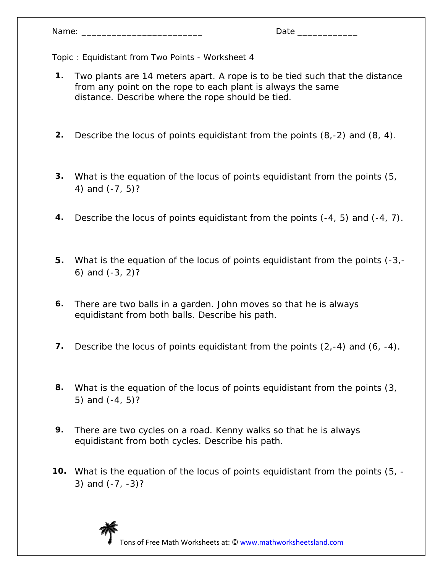- **1.** Two plants are 14 meters apart. A rope is to be tied such that the distance from any point on the rope to each plant is always the same distance. Describe where the rope should be tied.
- **2.** Describe the locus of points equidistant from the points (8,-2) and (8, 4).
- **3.** What is the equation of the locus of points equidistant from the points (5, 4) and (-7, 5)?
- **4.** Describe the locus of points equidistant from the points (-4, 5) and (-4, 7).
- **5.** What is the equation of the locus of points equidistant from the points (-3,- 6) and (-3, 2)?
- **6.** There are two balls in a garden. John moves so that he is always equidistant from both balls. Describe his path.
- **7.** Describe the locus of points equidistant from the points (2,-4) and (6, -4).
- **8.** What is the equation of the locus of points equidistant from the points (3, 5) and (-4, 5)?
- **9.** There are two cycles on a road. Kenny walks so that he is always equidistant from both cycles. Describe his path.
- **10.** What is the equation of the locus of points equidistant from the points (5, 3) and (-7, -3)?